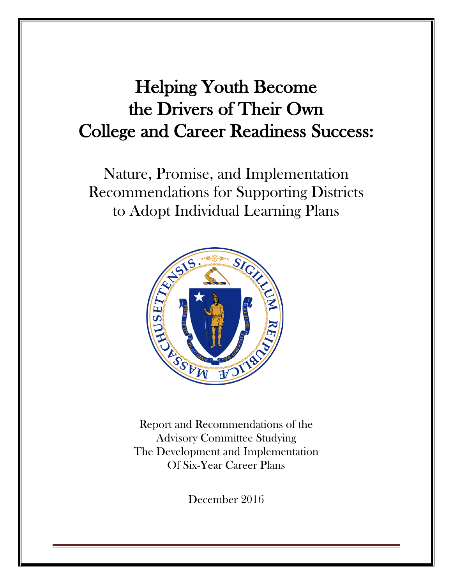# Helping Youth Become the Drivers of Their Own College and Career Readiness Success:

Nature, Promise, and Implementation Recommendations for Supporting Districts to Adopt Individual Learning Plans



Report and Recommendations of the Advisory Committee Studying The Development and Implementation Of Six-Year Career Plans

December 2016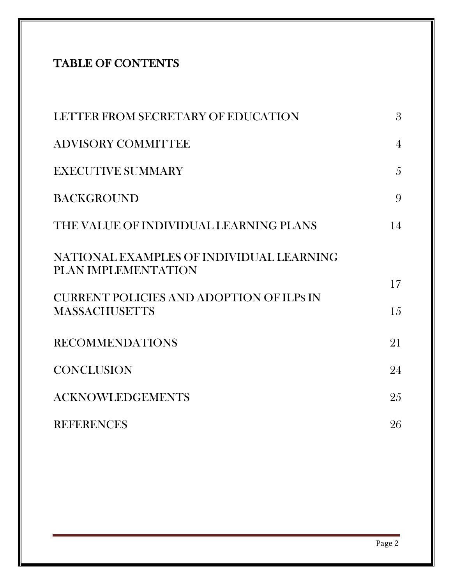# TABLE OF CONTENTS

| LETTER FROM SECRETARY OF EDUCATION                                      | 3              |
|-------------------------------------------------------------------------|----------------|
| <b>ADVISORY COMMITTEE</b>                                               | $\overline{4}$ |
| <b>EXECUTIVE SUMMARY</b>                                                | $\overline{5}$ |
| <b>BACKGROUND</b>                                                       | 9              |
| THE VALUE OF INDIVIDUAL LEARNING PLANS                                  | 14             |
| NATIONAL EXAMPLES OF INDIVIDUAL LEARNING<br>PLAN IMPLEMENTATION         |                |
| <b>CURRENT POLICIES AND ADOPTION OF ILPS IN</b><br><b>MASSACHUSETTS</b> | 17<br>15       |
| <b>RECOMMENDATIONS</b>                                                  | 21             |
| <b>CONCLUSION</b>                                                       | 24             |
| <b>ACKNOWLEDGEMENTS</b>                                                 | 25             |
| <b>REFERENCES</b>                                                       | 26             |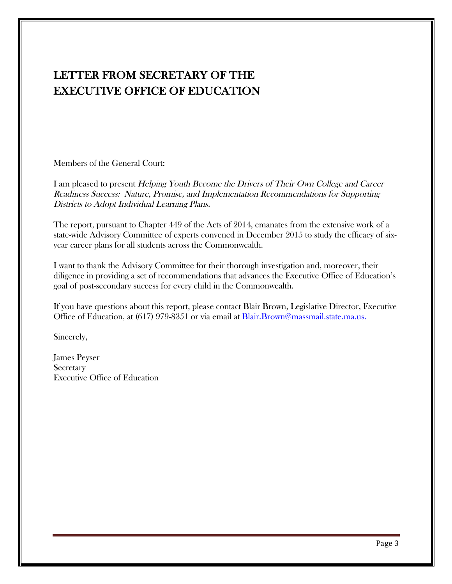# LETTER FROM SECRETARY OF THE EXECUTIVE OFFICE OF EDUCATION

Members of the General Court:

I am pleased to present Helping Youth Become the Drivers of Their Own College and Career Readiness Success: Nature, Promise, and Implementation Recommendations for Supporting Districts to Adopt Individual Learning Plans.

The report, pursuant to Chapter 449 of the Acts of 2014, emanates from the extensive work of a state-wide Advisory Committee of experts convened in December 2015 to study the efficacy of sixyear career plans for all students across the Commonwealth.

I want to thank the Advisory Committee for their thorough investigation and, moreover, their diligence in providing a set of recommendations that advances the Executive Office of Education's goal of post-secondary success for every child in the Commonwealth.

If you have questions about this report, please contact Blair Brown, Legislative Director, Executive Office of Education, at (617) 979-8351 or via email at Blair.Brown@massmail.state.ma.us.

Sincerely,

James Peyser **Secretary** Executive Office of Education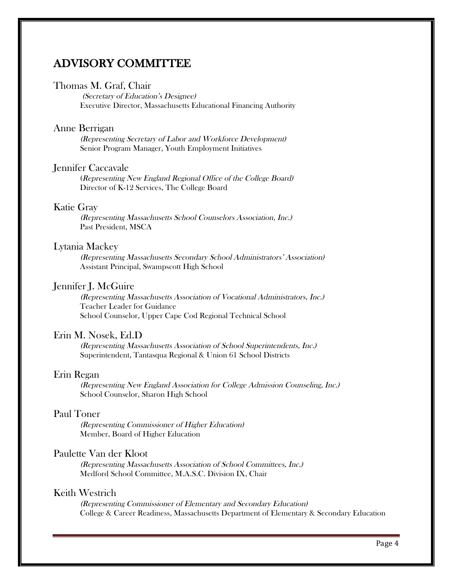# ADVISORY COMMITTEE

#### Thomas M. Graf, Chair

(Secretary of Education's Designee) Executive Director, Massachusetts Educational Financing Authority

#### Anne Berrigan

(Representing Secretary of Labor and Workforce Development) Senior Program Manager, Youth Employment Initiatives

#### Jennifer Caccavale

(Representing New England Regional Office of the College Board) Director of K-12 Services, The College Board

### Katie Gray

(Representing Massachusetts School Counselors Association, Inc.) Past President, MSCA

#### Lytania Mackey

(Representing Massachusetts Secondary School Administrators' Association) Assistant Principal, Swampscott High School

### Jennifer J. McGuire

(Representing Massachusetts Association of Vocational Administrators, Inc.) Teacher Leader for Guidance School Counselor, Upper Cape Cod Regional Technical School

#### Erin M. Nosek, Ed.D

(Representing Massachusetts Association of School Superintendents, Inc.) Superintendent, Tantasqua Regional & Union 61 School Districts

#### Erin Regan

(Representing New England Association for College Admission Counseling, Inc.) School Counselor, Sharon High School

### Paul Toner

(Representing Commissioner of Higher Education) Member, Board of Higher Education

### Paulette Van der Kloot

(Representing Massachusetts Association of School Committees, Inc.) Medford School Committee, M.A.S.C. Division IX, Chair

#### Keith Westrich

(Representing Commissioner of Elementary and Secondary Education) College & Career Readiness, Massachusetts Department of Elementary & Secondary Education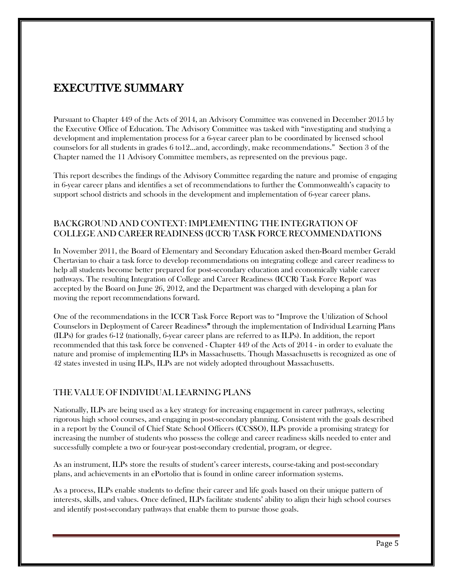# EXECUTIVE SUMMARY

Pursuant to Chapter 449 of the Acts of 2014, an Advisory Committee was convened in December 2015 by the Executive Office of Education. The Advisory Committee was tasked with "investigating and studying a development and implementation process for a 6-year career plan to be coordinated by licensed school counselors for all students in grades 6 to12…and, accordingly, make recommendations." Section 3 of the Chapter named the 11 Advisory Committee members, as represented on the previous page.

This report describes the findings of the Advisory Committee regarding the nature and promise of engaging in 6-year career plans and identifies a set of recommendations to further the Commonwealth's capacity to support school districts and schools in the development and implementation of 6-year career plans.

### BACKGROUND AND CONTEXT: IMPLEMENTING THE INTEGRATION OF COLLEGE AND CAREER READINESS (ICCR) TASK FORCE RECOMMENDATIONS

In November 2011, the Board of Elementary and Secondary Education asked then-Board member Gerald Chertavian to chair a task force to develop recommendations on integrating college and career readiness to help all students become better prepared for post-secondary education and economically viable career pathways. The resulting Integration of College and Career Readiness (ICCR) Task Force Report<sup>i</sup> was accepted by the Board on June 26, 2012, and the Department was charged with developing a plan for moving the report recommendations forward.

One of the recommendations in the ICCR Task Force Report was to "Improve the Utilization of School Counselors in Deployment of Career Readiness" through the implementation of Individual Learning Plans (ILPs) for grades 6-12 (nationally, 6-year career plans are referred to as ILPs). In addition, the report recommended that this task force be convened - Chapter 449 of the Acts of 2014 - in order to evaluate the nature and promise of implementing ILPs in Massachusetts. Though Massachusetts is recognized as one of 42 states invested in using ILPs, ILPs are not widely adopted throughout Massachusetts.

# THE VALUE OF INDIVIDUAL LEARNING PLANS

Nationally, ILPs are being used as a key strategy for increasing engagement in career pathways, selecting rigorous high school courses, and engaging in post-secondary planning. Consistent with the goals described in a report by the Council of Chief State School Officers (CCSSO), ILPs provide a promising strategy for increasing the number of students who possess the college and career readiness skills needed to enter and successfully complete a two or four-year post-secondary credential, program, or degree.

As an instrument, ILPs store the results of student's career interests, course-taking and post-secondary plans, and achievements in an ePortolio that is found in online career information systems.

As a process, ILPs enable students to define their career and life goals based on their unique pattern of interests, skills, and values. Once defined, ILPs facilitate students' ability to align their high school courses and identify post-secondary pathways that enable them to pursue those goals.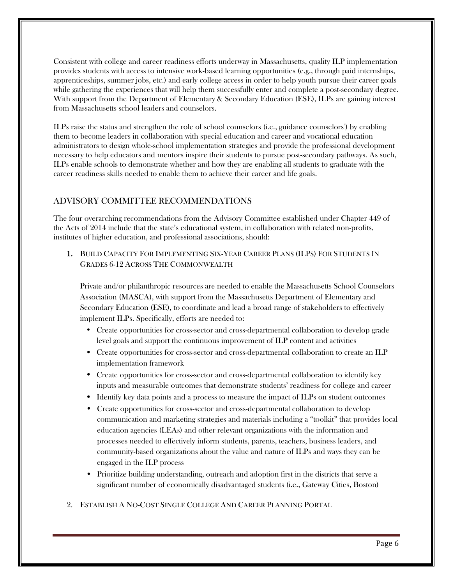Consistent with college and career readiness efforts underway in Massachusetts, quality ILP implementation provides students with access to intensive work-based learning opportunities (e.g., through paid internships, apprenticeships, summer jobs, etc.) and early college access in order to help youth pursue their career goals while gathering the experiences that will help them successfully enter and complete a post-secondary degree. With support from the Department of Elementary & Secondary Education (ESE), ILPs are gaining interest from Massachusetts school leaders and counselors.

ILPs raise the status and strengthen the role of school counselors (i.e., guidance counselors<sup>"</sup>) by enabling them to become leaders in collaboration with special education and career and vocational education administrators to design whole-school implementation strategies and provide the professional development necessary to help educators and mentors inspire their students to pursue post-secondary pathways. As such, ILPs enable schools to demonstrate whether and how they are enabling all students to graduate with the career readiness skills needed to enable them to achieve their career and life goals.

# ADVISORY COMMITTEE RECOMMENDATIONS

The four overarching recommendations from the Advisory Committee established under Chapter 449 of the Acts of 2014 include that the state's educational system, in collaboration with related non-profits, institutes of higher education, and professional associations, should:

1. BUILD CAPACITY FOR IMPLEMENTING SIX-YEAR CAREER PLANS (ILPS) FOR STUDENTS IN GRADES 6-12 ACROSS THE COMMONWEALTH

Private and/or philanthropic resources are needed to enable the Massachusetts School Counselors Association (MASCA), with support from the Massachusetts Department of Elementary and Secondary Education (ESE), to coordinate and lead a broad range of stakeholders to effectively implement ILPs. Specifically, efforts are needed to:

- Create opportunities for cross-sector and cross-departmental collaboration to develop grade level goals and support the continuous improvement of ILP content and activities
- Create opportunities for cross-sector and cross-departmental collaboration to create an ILP implementation framework
- Create opportunities for cross-sector and cross-departmental collaboration to identify key inputs and measurable outcomes that demonstrate students' readiness for college and career
- Identify key data points and a process to measure the impact of ILPs on student outcomes
- Create opportunities for cross-sector and cross-departmental collaboration to develop communication and marketing strategies and materials including a "toolkit" that provides local education agencies (LEAs) and other relevant organizations with the information and processes needed to effectively inform students, parents, teachers, business leaders, and community-based organizations about the value and nature of ILPs and ways they can be engaged in the ILP process
- Prioritize building understanding, outreach and adoption first in the districts that serve a significant number of economically disadvantaged students (i.e., Gateway Cities, Boston)
- 2. ESTABLISH A NO-COST SINGLE COLLEGE AND CAREER PLANNING PORTAL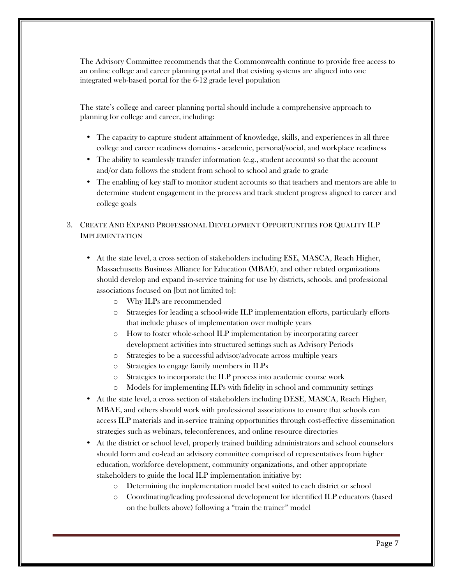The Advisory Committee recommends that the Commonwealth continue to provide free access to an online college and career planning portal and that existing systems are aligned into one integrated web-based portal for the 6-12 grade level population

The state's college and career planning portal should include a comprehensive approach to planning for college and career, including:

- The capacity to capture student attainment of knowledge, skills, and experiences in all three college and career readiness domains - academic, personal/social, and workplace readiness
- The ability to seamlessly transfer information (e.g., student accounts) so that the account and/or data follows the student from school to school and grade to grade
- The enabling of key staff to monitor student accounts so that teachers and mentors are able to determine student engagement in the process and track student progress aligned to career and college goals

### 3. CREATE AND EXPAND PROFESSIONAL DEVELOPMENT OPPORTUNITIES FOR QUALITY ILP IMPLEMENTATION

- At the state level, a cross section of stakeholders including ESE, MASCA, Reach Higher, Massachusetts Business Alliance for Education (MBAE), and other related organizations should develop and expand in-service training for use by districts, schools. and professional associations focused on [but not limited to]:
	- o Why ILPs are recommended
	- o Strategies for leading a school-wide ILP implementation efforts, particularly efforts that include phases of implementation over multiple years
	- o How to foster whole-school ILP implementation by incorporating career development activities into structured settings such as Advisory Periods
	- o Strategies to be a successful advisor/advocate across multiple years
	- o Strategies to engage family members in ILPs
	- o Strategies to incorporate the ILP process into academic course work
	- o Models for implementing ILPs with fidelity in school and community settings
- At the state level, a cross section of stakeholders including DESE, MASCA, Reach Higher, MBAE, and others should work with professional associations to ensure that schools can access ILP materials and in-service training opportunities through cost-effective dissemination strategies such as webinars, teleconferences, and online resource directories
- At the district or school level, properly trained building administrators and school counselors should form and co-lead an advisory committee comprised of representatives from higher education, workforce development, community organizations, and other appropriate stakeholders to guide the local ILP implementation initiative by:
	- o Determining the implementation model best suited to each district or school
	- o Coordinating/leading professional development for identified ILP educators (based on the bullets above) following a "train the trainer" model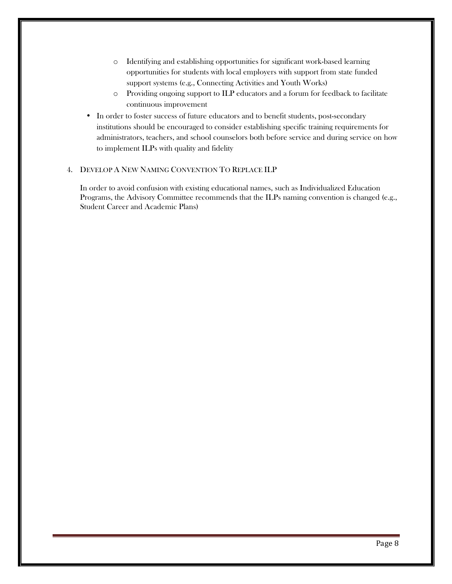- o Identifying and establishing opportunities for significant work-based learning opportunities for students with local employers with support from state funded support systems (e.g., Connecting Activities and Youth Works)
- o Providing ongoing support to ILP educators and a forum for feedback to facilitate continuous improvement
- In order to foster success of future educators and to benefit students, post-secondary institutions should be encouraged to consider establishing specific training requirements for administrators, teachers, and school counselors both before service and during service on how to implement ILPs with quality and fidelity

#### 4. DEVELOP A NEW NAMING CONVENTION TO REPLACE ILP

In order to avoid confusion with existing educational names, such as Individualized Education Programs, the Advisory Committee recommends that the ILPs naming convention is changed (e.g., Student Career and Academic Plans)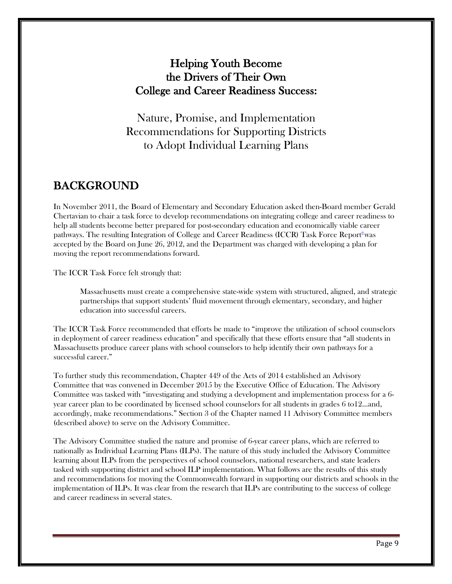# Helping Youth Become the Drivers of Their Own College and Career Readiness Success:

Nature, Promise, and Implementation Recommendations for Supporting Districts to Adopt Individual Learning Plans

# BACKGROUND

In November 2011, the Board of Elementary and Secondary Education asked then-Board member Gerald Chertavian to chair a task force to develop recommendations on integrating college and career readiness to help all students become better prepared for post-secondary education and economically viable career pathways. The resulting Integration of College and Career Readiness (ICCR) Task Force Report<sup>®</sup>was accepted by the Board on June 26, 2012, and the Department was charged with developing a plan for moving the report recommendations forward.

The ICCR Task Force felt strongly that:

Massachusetts must create a comprehensive state-wide system with structured, aligned, and strategic partnerships that support students' fluid movement through elementary, secondary, and higher education into successful careers.

The ICCR Task Force recommended that efforts be made to "improve the utilization of school counselors in deployment of career readiness education" and specifically that these efforts ensure that "all students in Massachusetts produce career plans with school counselors to help identify their own pathways for a successful career."

To further study this recommendation, Chapter 449 of the Acts of 2014 established an Advisory Committee that was convened in December 2015 by the Executive Office of Education. The Advisory Committee was tasked with "investigating and studying a development and implementation process for a 6 year career plan to be coordinated by licensed school counselors for all students in grades 6 to12…and, accordingly, make recommendations." Section 3 of the Chapter named 11 Advisory Committee members (described above) to serve on the Advisory Committee.

The Advisory Committee studied the nature and promise of 6-year career plans, which are referred to nationally as Individual Learning Plans (ILPs). The nature of this study included the Advisory Committee learning about ILPs from the perspectives of school counselors, national researchers, and state leaders tasked with supporting district and school ILP implementation. What follows are the results of this study and recommendations for moving the Commonwealth forward in supporting our districts and schools in the implementation of ILPs. It was clear from the research that ILPs are contributing to the success of college and career readiness in several states.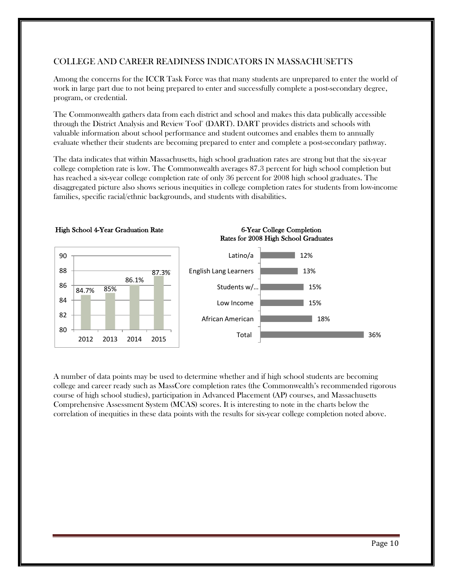# COLLEGE AND CAREER READINESS INDICATORS IN MASSACHUSETTS

Among the concerns for the ICCR Task Force was that many students are unprepared to enter the world of work in large part due to not being prepared to enter and successfully complete a post-secondary degree, program, or credential.

The Commonwealth gathers data from each district and school and makes this data publically accessible through the District Analysis and Review Tool<sup>"</sup> (DART). DART provides districts and schools with valuable information about school performance and student outcomes and enables them to annually evaluate whether their students are becoming prepared to enter and complete a post-secondary pathway.

The data indicates that within Massachusetts, high school graduation rates are strong but that the six-year college completion rate is low. The Commonwealth averages 87.3 percent for high school completion but has reached a six-year college completion rate of only 36 percent for 2008 high school graduates. The disaggregated picture also shows serious inequities in college completion rates for students from low-income families, specific racial/ethnic backgrounds, and students with disabilities.



A number of data points may be used to determine whether and if high school students are becoming college and career ready such as MassCore completion rates (the Commonwealth's recommended rigorous course of high school studies), participation in Advanced Placement (AP) courses, and Massachusetts Comprehensive Assessment System (MCAS) scores. It is interesting to note in the charts below the correlation of inequities in these data points with the results for six-year college completion noted above.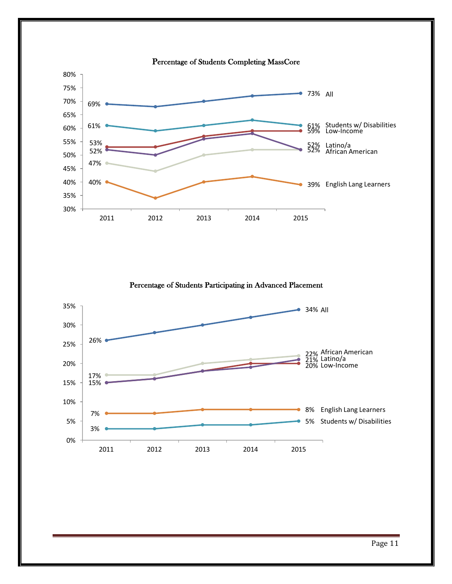

Percentage of Students Participating in Advanced Placement

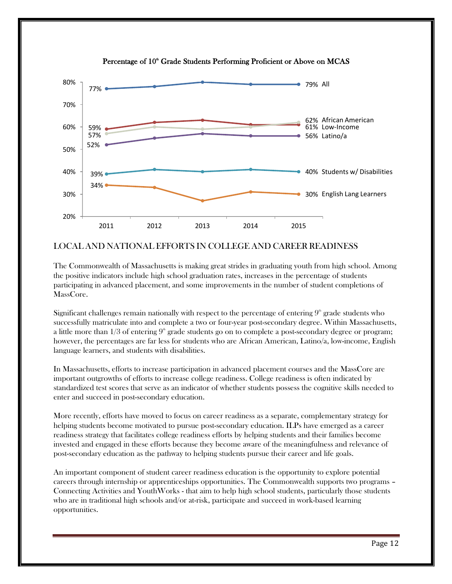

Percentage of 10<sup>th</sup> Grade Students Performing Proficient or Above on MCAS

### LOCAL AND NATIONAL EFFORTS IN COLLEGE AND CAREER READINESS

The Commonwealth of Massachusetts is making great strides in graduating youth from high school. Among the positive indicators include high school graduation rates, increases in the percentage of students participating in advanced placement, and some improvements in the number of student completions of MassCore.

Significant challenges remain nationally with respect to the percentage of entering  $9<sup>th</sup>$  grade students who successfully matriculate into and complete a two or four-year post-secondary degree. Within Massachusetts, a little more than  $1/3$  of entering  $9<sup>th</sup>$  grade students go on to complete a post-secondary degree or program; however, the percentages are far less for students who are African American, Latino/a, low-income, English language learners, and students with disabilities.

In Massachusetts, efforts to increase participation in advanced placement courses and the MassCore are important outgrowths of efforts to increase college readiness. College readiness is often indicated by standardized test scores that serve as an indicator of whether students possess the cognitive skills needed to enter and succeed in post-secondary education.

More recently, efforts have moved to focus on career readiness as a separate, complementary strategy for helping students become motivated to pursue post-secondary education. ILPs have emerged as a career readiness strategy that facilitates college readiness efforts by helping students and their families become invested and engaged in these efforts because they become aware of the meaningfulness and relevance of post-secondary education as the pathway to helping students pursue their career and life goals.

An important component of student career readiness education is the opportunity to explore potential careers through internship or apprenticeships opportunities. The Commonwealth supports two programs – Connecting Activities and YouthWorks - that aim to help high school students, particularly those students who are in traditional high schools and/or at-risk, participate and succeed in work-based learning opportunities.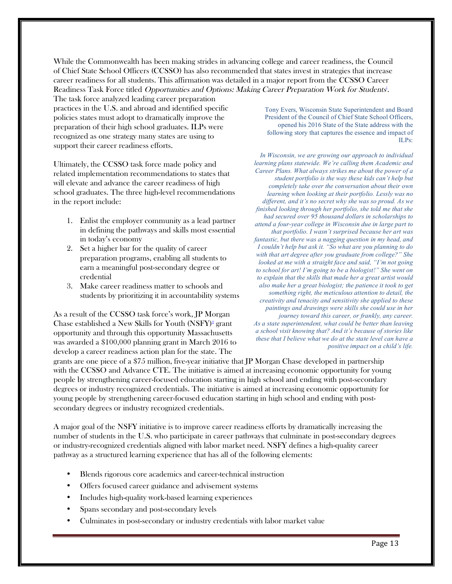While the Commonwealth has been making strides in advancing college and career readiness, the Council of Chief State School Officers (CCSSO) has also recommended that states invest in strategies that increase career readiness for all students. This affirmation was detailed in a major report from the CCSSO Career Readiness Task Force titled *Opportunities and Options: Making Career Preparation Work for Students<sup>\*</sup>.* 

The task force analyzed leading career preparation practices in the U.S. and abroad and identified specific policies states must adopt to dramatically improve the preparation of their high school graduates. ILPs were recognized as one strategy many states are using to support their career readiness efforts.

Ultimately, the CCSSO task force made policy and related implementation recommendations to states that will elevate and advance the career readiness of high school graduates. The three high-level recommendations in the report include:

- 1. Enlist the employer community as a lead partner in defining the pathways and skills most essential in today's economy
- 2. Set a higher bar for the quality of career preparation programs, enabling all students to earn a meaningful post-secondary degree or credential
- 3. Make career readiness matter to schools and students by prioritizing it in accountability systems

As a result of the CCSSO task force's work, JP Morgan Chase established a New Skills for Youth  $(NSFY)^{d}$  grant opportunity and through this opportunity Massachusetts was awarded a \$100,000 planning grant in March 2016 to develop a career readiness action plan for the state. The

Tony Evers, Wisconsin State Superintendent and Board President of the Council of Chief State School Officers, opened his 2016 State of the State address with the following story that captures the essence and impact of ILPs:

*In Wisconsin, we are growing our approach to individual learning plans statewide. We're calling them Academic and Career Plans. What always strikes me about the power of a student portfolio is the way these kids can't help but completely take over the conversation about their own learning when looking at their portfolio. Lessly was no different, and it's no secret why she was so proud. As we finished looking through her portfolio, she told me that she had secured over 95 thousand dollars in scholarships to attend a four-year college in Wisconsin due in large part to that portfolio. I wasn't surprised because her art was fantastic, but there was a nagging question in my head, and I couldn't help but ask it. "So what are you planning to do with that art degree after you graduate from college?" She looked at me with a straight face and said, "I'm not going to school for art! I'm going to be a biologist!" She went on to explain that the skills that made her a great artist would also make her a great biologist; the patience it took to get something right, the meticulous attention to detail, the creativity and tenacity and sensitivity she applied to these paintings and drawings were skills she could use in her journey toward this career, or frankly, any career. As a state superintendent, what could be better than leaving a school visit knowing that? And it's because of stories like these that I believe what we do at the state level can have a positive impact on a child's life.* 

grants are one piece of a \$75 million, five-year initiative that JP Morgan Chase developed in partnership with the CCSSO and Advance CTE. The initiative is aimed at increasing economic opportunity for young people by strengthening career-focused education starting in high school and ending with post-secondary degrees or industry recognized credentials. The initiative is aimed at increasing economic opportunity for young people by strengthening career-focused education starting in high school and ending with postsecondary degrees or industry recognized credentials.

A major goal of the NSFY initiative is to improve career readiness efforts by dramatically increasing the number of students in the U.S. who participate in career pathways that culminate in post-secondary degrees or industry-recognized credentials aligned with labor market need. NSFY defines a high-quality career pathway as a structured learning experience that has all of the following elements:

- Blends rigorous core academics and career-technical instruction
- Offers focused career guidance and advisement systems
- Includes high-quality work-based learning experiences
- Spans secondary and post-secondary levels
- Culminates in post-secondary or industry credentials with labor market value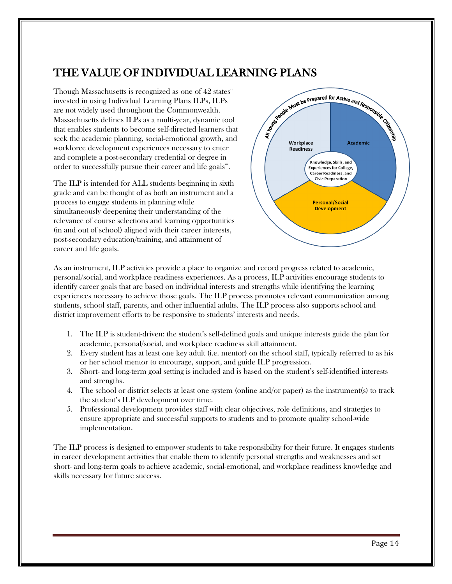# THE VALUE OF INDIVIDUAL LEARNING PLANS

Though Massachusetts is recognized as one of  $42$  states $\overline{ }$ invested in using Individual Learning Plans ILPs, ILPs are not widely used throughout the Commonwealth. Massachusetts defines ILPs as a multi-year, dynamic tool that enables students to become self-directed learners that seek the academic planning, social-emotional growth, and workforce development experiences necessary to enter and complete a post-secondary credential or degree in order to successfully pursue their career and life goals  $\ddot{\ddot{\ } }$  .

The ILP is intended for ALL students beginning in sixth grade and can be thought of as both an instrument and a process to engage students in planning while simultaneously deepening their understanding of the relevance of course selections and learning opportunities (in and out of school) aligned with their career interests, post-secondary education/training, and attainment of career and life goals.



As an instrument, ILP activities provide a place to organize and record progress related to academic, personal/social, and workplace readiness experiences. As a process, ILP activities encourage students to identify career goals that are based on individual interests and strengths while identifying the learning experiences necessary to achieve those goals. The ILP process promotes relevant communication among students, school staff, parents, and other influential adults. The ILP process also supports school and district improvement efforts to be responsive to students' interests and needs.

- 1. The ILP is student-driven: the student's self-defined goals and unique interests guide the plan for academic, personal/social, and workplace readiness skill attainment.
- 2. Every student has at least one key adult (i.e. mentor) on the school staff, typically referred to as his or her school mentor to encourage, support, and guide ILP progression.
- 3. Short- and long-term goal setting is included and is based on the student's self-identified interests and strengths.
- 4. The school or district selects at least one system (online and/or paper) as the instrument(s) to track the student's ILP development over time.
- 5. Professional development provides staff with clear objectives, role definitions, and strategies to ensure appropriate and successful supports to students and to promote quality school-wide implementation.

The ILP process is designed to empower students to take responsibility for their future. It engages students in career development activities that enable them to identify personal strengths and weaknesses and set short- and long-term goals to achieve academic, social-emotional, and workplace readiness knowledge and skills necessary for future success.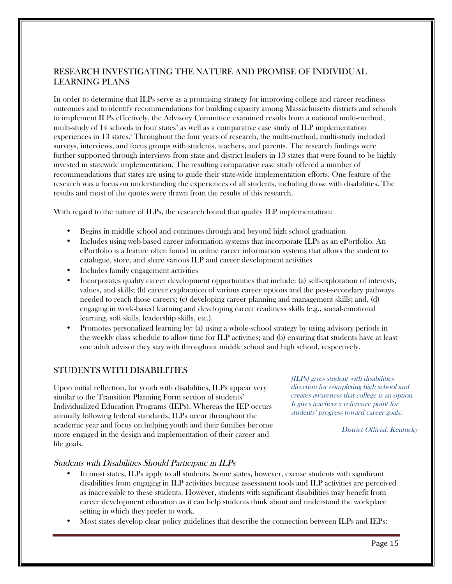# RESEARCH INVESTIGATING THE NATURE AND PROMISE OF INDIVIDUAL LEARNING PLANS

In order to determine that ILPs serve as a promising strategy for improving college and career readiness outcomes and to identify recommendations for building capacity among Massachusetts districts and schools to implement ILPs effectively, the Advisory Committee examined results from a national multi-method, multi-study of  $14$  schools in four states<sup>\*</sup> as well as a comparative case study of ILP implementation experiences in 13 states. Throughout the four years of research, the multi-method, multi-study included surveys, interviews, and focus groups with students, teachers, and parents. The research findings were further supported through interviews from state and district leaders in 13 states that were found to be highly invested in statewide implementation. The resulting comparative case study offered a number of recommendations that states are using to guide their state-wide implementation efforts. One feature of the research was a focus on understanding the experiences of all students, including those with disabilities. The results and most of the quotes were drawn from the results of this research.

With regard to the nature of ILPs, the research found that quality ILP implementation:

- Begins in middle school and continues through and beyond high school graduation
- Includes using web-based career information systems that incorporate ILPs as an ePortfolio. An ePortfolio is a feature often found in online career information systems that allows the student to catalogue, store, and share various ILP and career development activities
- Includes family engagement activities
- Incorporates quality career development opportunities that include: (a) self-exploration of interests, values, and skills; (b) career exploration of various career options and the post-secondary pathways needed to reach those careers; (c) developing career planning and management skills; and, (d) engaging in work-based learning and developing career readiness skills (e.g., social-emotional learning, soft skills, leadership skills, etc.).
- Promotes personalized learning by: (a) using a whole-school strategy by using advisory periods in the weekly class schedule to allow time for ILP activities; and (b) ensuring that students have at least one adult advisor they stay with throughout middle school and high school, respectively.

### STUDENTS WITH DISABILITIES

Upon initial reflection, for youth with disabilities, ILPs appear very similar to the Transition Planning Form section of students' Individualized Education Programs (IEPs). Whereas the IEP occurs annually following federal standards, ILPs occur throughout the academic year and focus on helping youth and their families become more engaged in the design and implementation of their career and life goals.

[ILPs] gives student with disabilities direction for completing high school and creates awareness that college is an option. It gives teachers a reference point for students' progress toward career goals.

District Official, Kentucky

#### Students with Disabilities Should Participate in ILPs

- In most states, ILPs apply to all students. Some states, however, excuse students with significant disabilities from engaging in ILP activities because assessment tools and ILP activities are perceived as inaccessible to these students. However, students with significant disabilities may benefit from career development education as it can help students think about and understand the workplace setting in which they prefer to work.
- Most states develop clear policy guidelines that describe the connection between ILPs and IEPs: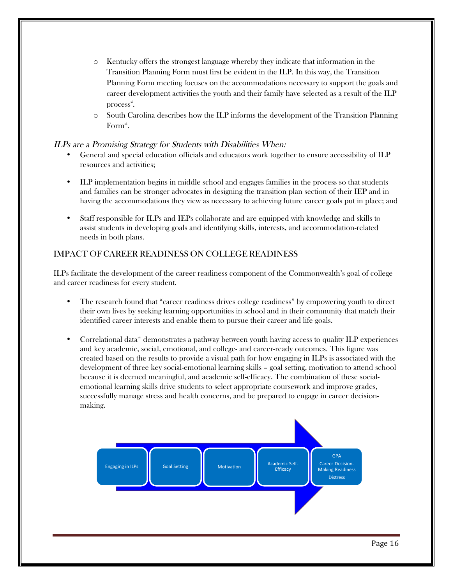- o Kentucky offers the strongest language whereby they indicate that information in the Transition Planning Form must first be evident in the ILP. In this way, the Transition Planning Form meeting focuses on the accommodations necessary to support the goals and career development activities the youth and their family have selected as a result of the ILP  $\mathbf{process}^{\mathbf{xi}}$ .
- o South Carolina describes how the ILP informs the development of the Transition Planning  $\mathrm{Form}^{\scriptscriptstyle{\mathrm{xi}}}$ .

#### ILPs are a Promising Strategy for Students with Disabilities When:

- General and special education officials and educators work together to ensure accessibility of ILP resources and activities;
- ILP implementation begins in middle school and engages families in the process so that students and families can be stronger advocates in designing the transition plan section of their IEP and in having the accommodations they view as necessary to achieving future career goals put in place; and
- Staff responsible for ILPs and IEPs collaborate and are equipped with knowledge and skills to assist students in developing goals and identifying skills, interests, and accommodation-related needs in both plans.

### IMPACT OF CAREER READINESS ON COLLEGE READINESS

ILPs facilitate the development of the career readiness component of the Commonwealth's goal of college and career readiness for every student.

- The research found that "career readiness drives college readiness" by empowering youth to direct their own lives by seeking learning opportunities in school and in their community that match their identified career interests and enable them to pursue their career and life goals.
- Correlational data $\ddot{a}$  demonstrates a pathway between youth having access to quality ILP experiences and key academic, social, emotional, and college- and career-ready outcomes. This figure was created based on the results to provide a visual path for how engaging in ILPs is associated with the development of three key social-emotional learning skills – goal setting, motivation to attend school because it is deemed meaningful, and academic self-efficacy. The combination of these socialemotional learning skills drive students to select appropriate coursework and improve grades, successfully manage stress and health concerns, and be prepared to engage in career decisionmaking.

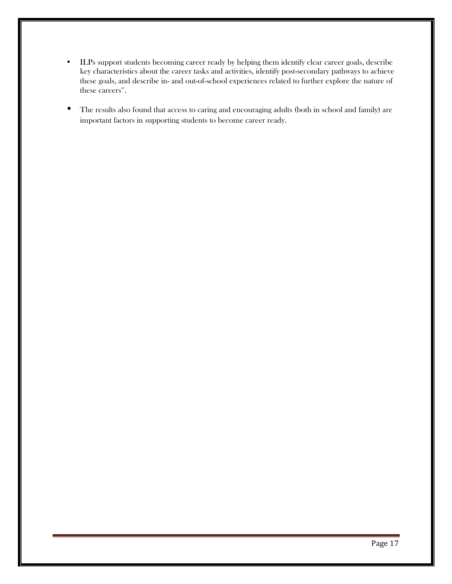- ILPs support students becoming career ready by helping them identify clear career goals, describe key characteristics about the career tasks and activities, identify post-secondary pathways to achieve these goals, and describe in- and out-of-school experiences related to further explore the nature of these careers<sup>xiv</sup>.
- The results also found that access to caring and encouraging adults (both in school and family) are important factors in supporting students to become career ready.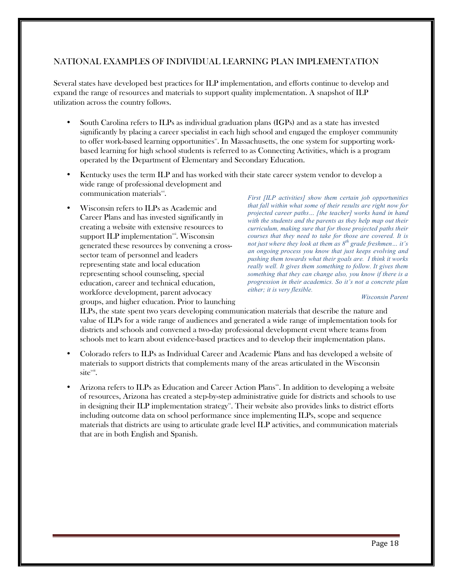# NATIONAL EXAMPLES OF INDIVIDUAL LEARNING PLAN IMPLEMENTATION

Several states have developed best practices for ILP implementation, and efforts continue to develop and expand the range of resources and materials to support quality implementation. A snapshot of ILP utilization across the country follows.

- South Carolina refers to ILPs as individual graduation plans (IGPs) and as a state has invested significantly by placing a career specialist in each high school and engaged the employer community to offer work-based learning opportunities". In Massachusetts, the one system for supporting workbased learning for high school students is referred to as Connecting Activities, which is a program operated by the Department of Elementary and Secondary Education.
- Kentucky uses the term ILP and has worked with their state career system vendor to develop a wide range of professional development and communication materials<sup>xi</sup>.
- Wisconsin refers to ILPs as Academic and Career Plans and has invested significantly in creating a website with extensive resources to support ILP implementation $x^{\text{min}}$ . Wisconsin generated these resources by convening a crosssector team of personnel and leaders representing state and local education representing school counseling, special education, career and technical education, workforce development, parent advocacy groups, and higher education. Prior to launching

*First [ILP activities] show them certain job opportunities that fall within what some of their results are right now for projected career paths… [the teacher] works hand in hand with the students and the parents as they help map out their curriculum, making sure that for those projected paths their courses that they need to take for those are covered. It is not just where they look at them as 8th grade freshmen… it's an ongoing process you know that just keeps evolving and pushing them towards what their goals are. I think it works really well. It gives them something to follow. It gives them something that they can change also, you know if there is a progression in their academics. So it's not a concrete plan either; it is very flexible.*

*Wisconsin Parent*

ILPs, the state spent two years developing communication materials that describe the nature and value of ILPs for a wide range of audiences and generated a wide range of implementation tools for districts and schools and convened a two-day professional development event where teams from schools met to learn about evidence-based practices and to develop their implementation plans.

- Colorado refers to ILPs as Individual Career and Academic Plans and has developed a website of materials to support districts that complements many of the areas articulated in the Wisconsin  $\text{site}^{\text{win}}$ .
- Arizona refers to ILPs as Education and Career Action Plans<sup>\*\*</sup>. In addition to developing a website of resources, Arizona has created a step-by-step administrative guide for districts and schools to use in designing their ILP implementation strategy". Their website also provides links to district efforts including outcome data on school performance since implementing ILPs, scope and sequence materials that districts are using to articulate grade level ILP activities, and communication materials that are in both English and Spanish.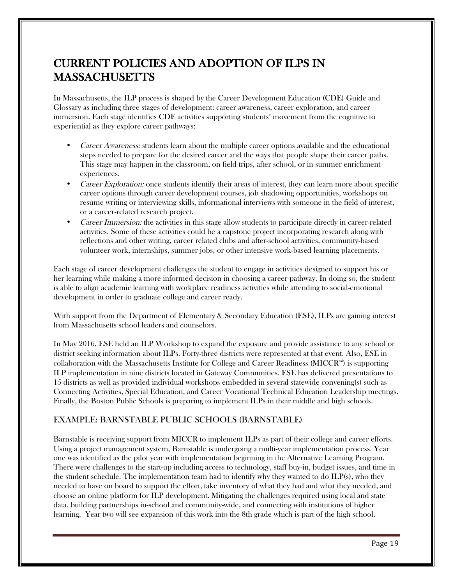# CURRENT POLICIES AND ADOPTION OF ILPS IN MASSACHUSETTS

In Massachusetts, the ILP process is shaped by the Career Development Education (CDE) Guide and Glossary as including three stages of development: career awareness, career exploration, and career immersion. Each stage identifies CDE activities supporting students' movement from the cognitive to experiential as they explore career pathways:

- Career Awareness: students learn about the multiple career options available and the educational steps needed to prepare for the desired career and the ways that people shape their career paths. This stage may happen in the classroom, on field trips, after school, or in summer enrichment experiences.
- Career Exploration: once students identify their areas of interest, they can learn more about specific career options through career development courses, job shadowing opportunities, workshops on resume writing or interviewing skills, informational interviews with someone in the field of interest, or a career-related research project.
- Career Immersion: the activities in this stage allow students to participate directly in career-related activities. Some of these activities could be a capstone project incorporating research along with reflections and other writing, career related clubs and after-school activities, community-based volunteer work, internships, summer jobs, or other intensive work-based learning placements.

Each stage of career development challenges the student to engage in activities designed to support his or her learning while making a more informed decision in choosing a career pathway. In doing so, the student is able to align academic learning with workplace readiness activities while attending to social-emotional development in order to graduate college and career ready.

With support from the Department of Elementary & Secondary Education (ESE), ILPs are gaining interest from Massachusetts school leaders and counselors.

In May 2016, ESE held an ILP Workshop to expand the exposure and provide assistance to any school or district seeking information about ILPs. Forty-three districts were represented at that event. Also, ESE in collaboration with the Massachusetts Institute for College and Career Readiness (MICCR $^{\infty}$ ) is supporting ILP implementation in nine districts located in Gateway Communities. ESE has delivered presentations to 15 districts as well as provided individual workshops embedded in several statewide convening(s) such as Connecting Activities, Special Education, and Career Vocational Technical Education Leadership meetings. Finally, the Boston Public Schools is preparing to implement ILPs in their middle and high schools.

# EXAMPLE: BARNSTABLE PUBLIC SCHOOLS (BARNSTABLE)

Barnstable is receiving support from MICCR to implement ILPs as part of their college and career efforts. Using a project management system, Barnstable is undergoing a multi-year implementation process. Year one was identified as the pilot year with implementation beginning in the Alternative Learning Program. There were challenges to the start-up including access to technology, staff buy-in, budget issues, and time in the student schedule. The implementation team had to identify why they wanted to do  $ILP(s)$ , who they needed to have on board to support the effort, take inventory of what they had and what they needed, and choose an online platform for ILP development. Mitigating the challenges required using local and state data, building partnerships in-school and community-wide, and connecting with institutions of higher learning. Year two will see expansion of this work into the 8th grade which is part of the high school.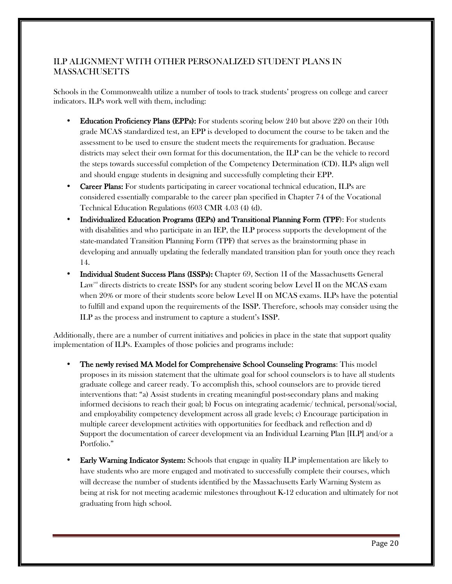# ILP ALIGNMENT WITH OTHER PERSONALIZED STUDENT PLANS IN MASSACHUSETTS

Schools in the Commonwealth utilize a number of tools to track students' progress on college and career indicators. ILPs work well with them, including:

- Education Proficiency Plans (EPPs): For students scoring below 240 but above 220 on their 10th grade MCAS standardized test, an EPP is developed to document the course to be taken and the assessment to be used to ensure the student meets the requirements for graduation. Because districts may select their own format for this documentation, the ILP can be the vehicle to record the steps towards successful completion of the Competency Determination (CD). ILPs align well and should engage students in designing and successfully completing their EPP.
- Career Plans: For students participating in career vocational technical education, ILPs are considered essentially comparable to the career plan specified in Chapter 74 of the Vocational Technical Education Regulations (603 CMR 4.03 (4) (d).
- Individualized Education Programs (IEPs) and Transitional Planning Form (TPF): For students with disabilities and who participate in an IEP, the ILP process supports the development of the state-mandated Transition Planning Form (TPF) that serves as the brainstorming phase in developing and annually updating the federally mandated transition plan for youth once they reach 14.
- Individual Student Success Plans (ISSPs): Chapter 69, Section 1I of the Massachusetts General Law<sub>xii</sub> directs districts to create ISSPs for any student scoring below Level II on the MCAS exam when 20% or more of their students score below Level II on MCAS exams. ILPs have the potential to fulfill and expand upon the requirements of the ISSP. Therefore, schools may consider using the ILP as the process and instrument to capture a student's ISSP.

Additionally, there are a number of current initiatives and policies in place in the state that support quality implementation of ILPs. Examples of those policies and programs include:

- The newly revised MA Model for Comprehensive School Counseling Programs: This model proposes in its mission statement that the ultimate goal for school counselors is to have all students graduate college and career ready. To accomplish this, school counselors are to provide tiered interventions that: "a) Assist students in creating meaningful post-secondary plans and making informed decisions to reach their goal; b) Focus on integrating academic/ technical, personal/social, and employability competency development across all grade levels; c) Encourage participation in multiple career development activities with opportunities for feedback and reflection and d) Support the documentation of career development via an Individual Learning Plan [ILP] and/or a Portfolio."
- **Early Warning Indicator System:** Schools that engage in quality ILP implementation are likely to have students who are more engaged and motivated to successfully complete their courses, which will decrease the number of students identified by the Massachusetts Early Warning System as being at risk for not meeting academic milestones throughout K-12 education and ultimately for not graduating from high school.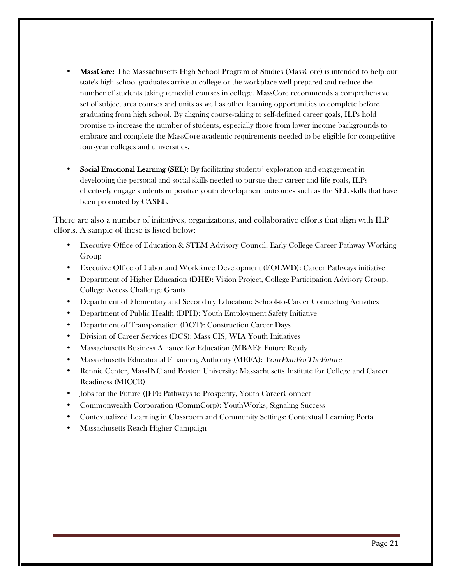- MassCore: The Massachusetts High School Program of Studies (MassCore) is intended to help our state's high school graduates arrive at college or the workplace well prepared and reduce the number of students taking remedial courses in college. MassCore recommends a comprehensive set of subject area courses and units as well as other learning opportunities to complete before graduating from high school. By aligning course-taking to self-defined career goals, ILPs hold promise to increase the number of students, especially those from lower income backgrounds to embrace and complete the MassCore academic requirements needed to be eligible for competitive four-year colleges and universities.
- Social Emotional Learning (SEL): By facilitating students' exploration and engagement in developing the personal and social skills needed to pursue their career and life goals, ILPs effectively engage students in positive youth development outcomes such as the SEL skills that have been promoted by CASEL.

There are also a number of initiatives, organizations, and collaborative efforts that align with ILP efforts. A sample of these is listed below:

- Executive Office of Education & STEM Advisory Council: Early College Career Pathway Working Group
- Executive Office of Labor and Workforce Development (EOLWD): Career Pathways initiative
- Department of Higher Education (DHE): Vision Project, College Participation Advisory Group, College Access Challenge Grants
- Department of Elementary and Secondary Education: School-to-Career Connecting Activities
- Department of Public Health (DPH): Youth Employment Safety Initiative
- Department of Transportation (DOT): Construction Career Days
- Division of Career Services (DCS): Mass CIS, WIA Youth Initiatives
- Massachusetts Business Alliance for Education (MBAE): Future Ready
- Massachusetts Educational Financing Authority (MEFA): YourPlanForTheFuture
- Rennie Center, MassINC and Boston University: Massachusetts Institute for College and Career Readiness (MICCR)
- Jobs for the Future (JFF): Pathways to Prosperity, Youth CareerConnect
- Commonwealth Corporation (CommCorp): YouthWorks, Signaling Success
- Contextualized Learning in Classroom and Community Settings: Contextual Learning Portal
- Massachusetts Reach Higher Campaign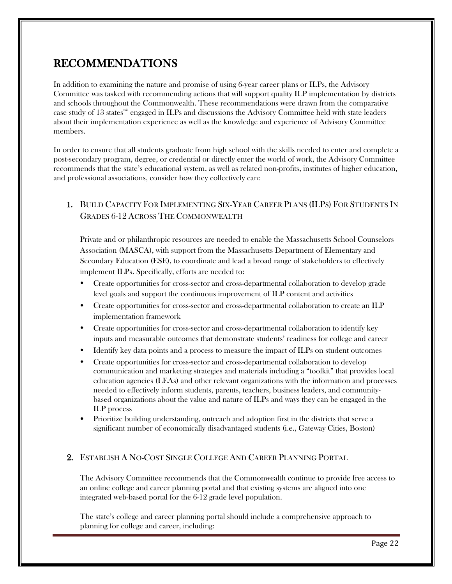# RECOMMENDATIONS

In addition to examining the nature and promise of using 6-year career plans or ILPs, the Advisory Committee was tasked with recommending actions that will support quality ILP implementation by districts and schools throughout the Commonwealth. These recommendations were drawn from the comparative case study of 13 states $x^{\text{max}}$  engaged in ILPs and discussions the Advisory Committee held with state leaders about their implementation experience as well as the knowledge and experience of Advisory Committee members.

In order to ensure that all students graduate from high school with the skills needed to enter and complete a post-secondary program, degree, or credential or directly enter the world of work, the Advisory Committee recommends that the state's educational system, as well as related non-profits, institutes of higher education, and professional associations, consider how they collectively can:

# 1. BUILD CAPACITY FOR IMPLEMENTING SIX-YEAR CAREER PLANS (ILPS) FOR STUDENTS IN GRADES 6-12 ACROSS THE COMMONWEALTH

Private and or philanthropic resources are needed to enable the Massachusetts School Counselors Association (MASCA), with support from the Massachusetts Department of Elementary and Secondary Education (ESE), to coordinate and lead a broad range of stakeholders to effectively implement ILPs. Specifically, efforts are needed to:

- Create opportunities for cross-sector and cross-departmental collaboration to develop grade level goals and support the continuous improvement of ILP content and activities
- Create opportunities for cross-sector and cross-departmental collaboration to create an ILP implementation framework
- Create opportunities for cross-sector and cross-departmental collaboration to identify key inputs and measurable outcomes that demonstrate students' readiness for college and career
- Identify key data points and a process to measure the impact of ILPs on student outcomes
- Create opportunities for cross-sector and cross-departmental collaboration to develop communication and marketing strategies and materials including a "toolkit" that provides local education agencies (LEAs) and other relevant organizations with the information and processes needed to effectively inform students, parents, teachers, business leaders, and communitybased organizations about the value and nature of ILPs and ways they can be engaged in the ILP process
- Prioritize building understanding, outreach and adoption first in the districts that serve a significant number of economically disadvantaged students (i.e., Gateway Cities, Boston)

### 2. ESTABLISH A NO-COST SINGLE COLLEGE AND CAREER PLANNING PORTAL

The Advisory Committee recommends that the Commonwealth continue to provide free access to an online college and career planning portal and that existing systems are aligned into one integrated web-based portal for the 6-12 grade level population.

The state's college and career planning portal should include a comprehensive approach to planning for college and career, including: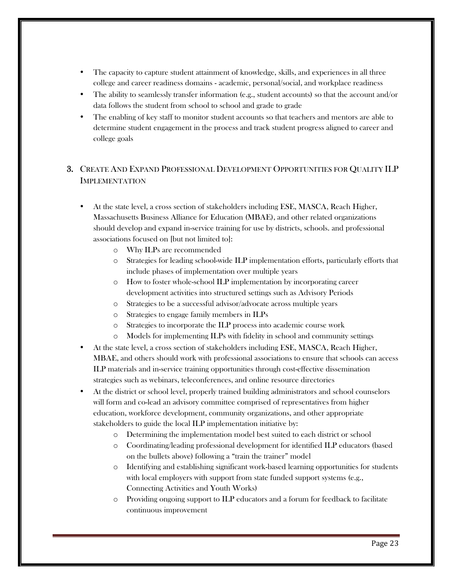- The capacity to capture student attainment of knowledge, skills, and experiences in all three college and career readiness domains - academic, personal/social, and workplace readiness
- The ability to seamlessly transfer information (e.g., student accounts) so that the account and/or data follows the student from school to school and grade to grade
- The enabling of key staff to monitor student accounts so that teachers and mentors are able to determine student engagement in the process and track student progress aligned to career and college goals

# 3. CREATE AND EXPAND PROFESSIONAL DEVELOPMENT OPPORTUNITIES FOR QUALITY ILP IMPLEMENTATION

- At the state level, a cross section of stakeholders including ESE, MASCA, Reach Higher, Massachusetts Business Alliance for Education (MBAE), and other related organizations should develop and expand in-service training for use by districts, schools. and professional associations focused on [but not limited to]:
	- o Why ILPs are recommended
	- o Strategies for leading school-wide ILP implementation efforts, particularly efforts that include phases of implementation over multiple years
	- o How to foster whole-school ILP implementation by incorporating career development activities into structured settings such as Advisory Periods
	- o Strategies to be a successful advisor/advocate across multiple years
	- o Strategies to engage family members in ILPs
	- o Strategies to incorporate the ILP process into academic course work
	- o Models for implementing ILPs with fidelity in school and community settings
- At the state level, a cross section of stakeholders including ESE, MASCA, Reach Higher, MBAE, and others should work with professional associations to ensure that schools can access ILP materials and in-service training opportunities through cost-effective dissemination strategies such as webinars, teleconferences, and online resource directories
- At the district or school level, properly trained building administrators and school counselors will form and co-lead an advisory committee comprised of representatives from higher education, workforce development, community organizations, and other appropriate stakeholders to guide the local ILP implementation initiative by:
	- o Determining the implementation model best suited to each district or school
	- o Coordinating/leading professional development for identified ILP educators (based on the bullets above) following a "train the trainer" model
	- o Identifying and establishing significant work-based learning opportunities for students with local employers with support from state funded support systems (e.g., Connecting Activities and Youth Works)
	- o Providing ongoing support to ILP educators and a forum for feedback to facilitate continuous improvement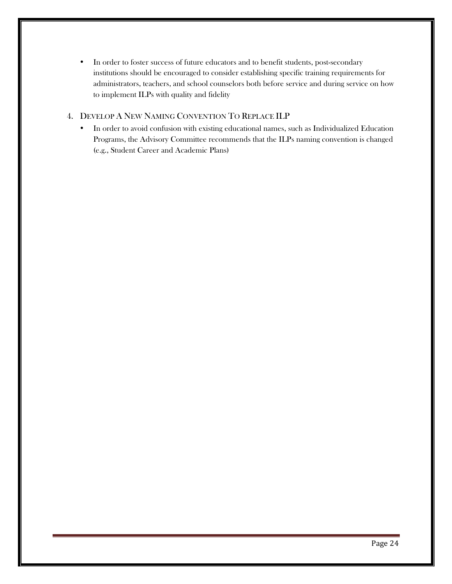• In order to foster success of future educators and to benefit students, post-secondary institutions should be encouraged to consider establishing specific training requirements for administrators, teachers, and school counselors both before service and during service on how to implement ILPs with quality and fidelity

#### 4. DEVELOP A NEW NAMING CONVENTION TO REPLACE ILP

• In order to avoid confusion with existing educational names, such as Individualized Education Programs, the Advisory Committee recommends that the ILPs naming convention is changed (e.g., Student Career and Academic Plans)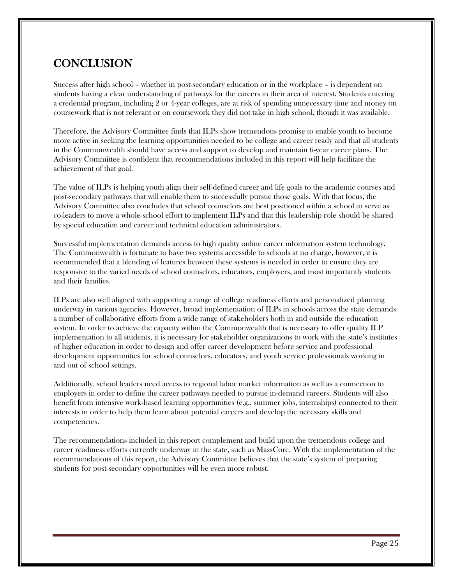# **CONCLUSION**

Success after high school – whether in post-secondary education or in the workplace – is dependent on students having a clear understanding of pathways for the careers in their area of interest. Students entering a credential program, including 2 or 4-year colleges, are at risk of spending unnecessary time and money on coursework that is not relevant or on coursework they did not take in high school, though it was available.

Therefore, the Advisory Committee finds that ILPs show tremendous promise to enable youth to become more active in seeking the learning opportunities needed to be college and career ready and that all students in the Commonwealth should have access and support to develop and maintain 6-year career plans. The Advisory Committee is confident that recommendations included in this report will help facilitate the achievement of that goal.

The value of ILPs is helping youth align their self-defined career and life goals to the academic courses and post-secondary pathways that will enable them to successfully pursue those goals. With that focus, the Advisory Committee also concludes that school counselors are best positioned within a school to serve as co-leaders to move a whole-school effort to implement ILPs and that this leadership role should be shared by special education and career and technical education administrators.

Successful implementation demands access to high quality online career information system technology. The Commonwealth is fortunate to have two systems accessible to schools at no charge, however, it is recommended that a blending of features between these systems is needed in order to ensure they are responsive to the varied needs of school counselors, educators, employers, and most importantly students and their families.

ILPs are also well aligned with supporting a range of college readiness efforts and personalized planning underway in various agencies. However, broad implementation of ILPs in schools across the state demands a number of collaborative efforts from a wide range of stakeholders both in and outside the education system. In order to achieve the capacity within the Commonwealth that is necessary to offer quality ILP implementation to all students, it is necessary for stakeholder organizations to work with the state's institutes of higher education in order to design and offer career development before service and professional development opportunities for school counselors, educators, and youth service professionals working in and out of school settings.

Additionally, school leaders need access to regional labor market information as well as a connection to employers in order to define the career pathways needed to pursue in-demand careers. Students will also benefit from intensive work-based learning opportunities (e.g., summer jobs, internships) connected to their interests in order to help them learn about potential careers and develop the necessary skills and competencies.

The recommendations included in this report complement and build upon the tremendous college and career readiness efforts currently underway in the state, such as MassCore. With the implementation of the recommendations of this report, the Advisory Committee believes that the state's system of preparing students for post-secondary opportunities will be even more robust.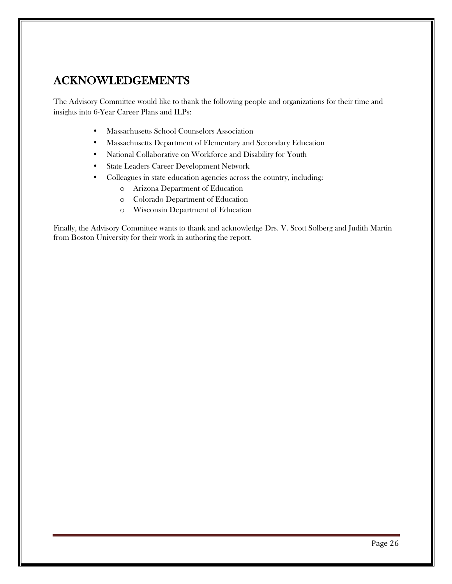# ACKNOWLEDGEMENTS

The Advisory Committee would like to thank the following people and organizations for their time and insights into 6-Year Career Plans and ILPs:

- Massachusetts School Counselors Association
- Massachusetts Department of Elementary and Secondary Education
- National Collaborative on Workforce and Disability for Youth
- State Leaders Career Development Network
- Colleagues in state education agencies across the country, including:
	- o Arizona Department of Education
	- o Colorado Department of Education
	- o Wisconsin Department of Education

Finally, the Advisory Committee wants to thank and acknowledge Drs. V. Scott Solberg and Judith Martin from Boston University for their work in authoring the report.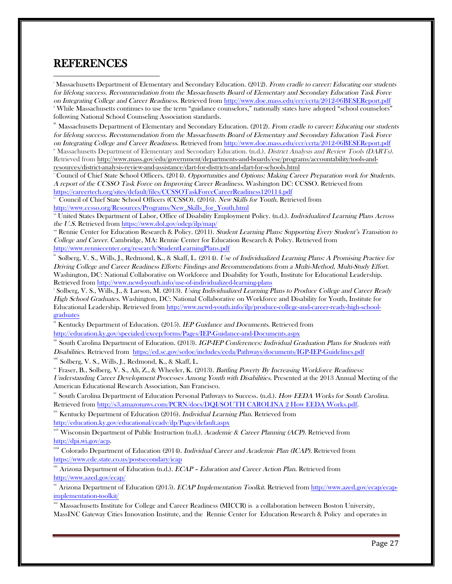# REFERENCES

 $\overline{a}$ Massachusetts Department of Elementary and Secondary Education. (2012). From cradle to career: Educating our students for lifelong success. Recommendation from the Massachusetts Board of Elementary and Secondary Education Task Force on Integrating College and Career Readiness. Retrieved from http://www.doe.mass.edu/ccr/ccrta/2012-06BESEReport.pdf <sup>i</sup> While Massachusetts continues to use the term "guidance counselors," nationally states have adopted "school counselors" following National School Counseling Association standards.

Massachusetts Department of Elementary and Secondary Education. (2012). From cradle to career: Educating our students for lifelong success. Recommendation from the Massachusetts Board of Elementary and Secondary Education Task Force on Integrating College and Career Readiness. Retrieved from http://www.doe.mass.edu/ccr/ccrta/2012-06BESEReport.pdf <sup>iv</sup> Massachusetts Department of Elementary and Secondary Education. (n.d.). District Analysis and Review Tools (DARTs). Retrieved from http://www.mass.gov/edu/government/departments-and-boards/ese/programs/accountability/tools-andresources/district-analysis-review-and-assistance/dart-for-districts-and-dart-for-schools.html

<sup>v</sup> Council of Chief State School Officers. (2014). Opportunities and Options: Making Career Preparation work for Students. A report of the CCSSO Task Force on Improving Career Readiness. Washington DC: CCSSO. Retrieved from https://careertech.org/sites/default/files/CCSSOTaskForceCareerReadiness120114.pdf

vi Council of Chief State School Officers (CCSSO). (2016). New Skills for Youth. Retrieved from http://www.ccsso.org/Resources/Programs/New\_Skills\_for\_Youth.html

v<sup>ii</sup> United States Department of Labor, Office of Disability Employment Policy. (n.d.). Individualized Learning Plans Across the U.S. Retrieved from https://www.dol.gov/odep/ilp/map/

viii Rennie Center for Education Research & Policy. (2011). Student Learning Plans: Supporting Every Student's Transition to College and Career. Cambridge, MA: Rennie Center for Education Research & Policy. Retrieved from http://www.renniecenter.org/research/StudentLearningPlans.pdf

Solberg, V. S., Wills, J., Redmond, K., & Skaff, L. (2014). Use of Individualized Learning Plans: A Promising Practice for Driving College and Career Readiness Efforts: Findings and Recommendations from a Multi-Method, Multi-Study Effort. Washington, DC: National Collaborative on Workforce and Disability for Youth, Institute for Educational Leadership. Retrieved from http://www.ncwd-youth.info/use-of-individualized-learning-plans

x Solberg, V. S., Wills, J., & Larson, M. (2013). Using Individualized Learning Plans to Produce College and Career Ready High School Graduates. Washington, DC: National Collaborative on Workforce and Disability for Youth, Institute for Educational Leadership. Retrieved from http://www.ncwd-youth.info/ilp/produce-college-and-career-ready-high-schoolgraduates

Kentucky Department of Education. (2015). IEP Guidance and Documents. Retrieved from http://education.ky.gov/specialed/excep/forms/Pages/IEP-Guidance-and-Documents.aspx

South Carolina Department of Education. (2013). IGP-IEP Conferences: Individual Graduation Plans for Students with Disabilities. Retrieved from https://ed.sc.gov/scdoe/includes/eeda/Pathways/documents/IGP-IEP-Guidelines.pdf

<sup>xiii</sup> Solberg, V. S., Wills, J., Redmond, K., & Skaff, L.<br>\* Fraser, B., Solberg, V. S., Ali, Z., & Wheeler, K. (2013). *Battling Poverty By Increasing Workforce Readiness:* Understanding Career Development Processes Among Youth with Disabilities. Presented at the 2013 Annual Meeting of the American Educational Research Association, San Francisco.

<sup>xv</sup> South Carolina Department of Education Personal Pathways to Success. (n.d.). How EEDA Works for South Carolina. Retrieved from http://s3.amazonaws.com/PCRN/docs/DQI/SOUTH CAROLINA 2 How EEDA Works.pdf.

<sup>xvi</sup> Kentucky Department of Education (2016). *Individual Learning Plan*. Retrieved from http://education.ky.gov/educational/ccadv/ilp/Pages/default.aspx

<sup>xvii</sup> Wisconsin Department of Public Instruction (n.d.). Academic & Career Planning (ACP). Retrieved from

http://dpi.wi.gov/acp. xviii Colorado Department of Education (2014). Individual Career and Academic Plan (ICAP). Retrieved from https://www.cde.state.co.us/postsecondary/icap

 $\stackrel{\text{\tiny{aux}}}{=}$  Arizona Department of Education (n.d.).  $ECAP$  – Education and Career Action Plan. Retrieved from http://www.azed.gov/ecap/

Arizona Department of Education (2015). ECAP Implementation Toolkit. Retrieved from http://www.azed.gov/ecap/ecapimplementation-toolkit/

<sup>xxi</sup> Massachusetts Institute for College and Career Readiness (MICCR) is a collaboration between Boston University, MassINC Gateway Cities Innovation Institute, and the Rennie Center for Education Research & Policy and operates in